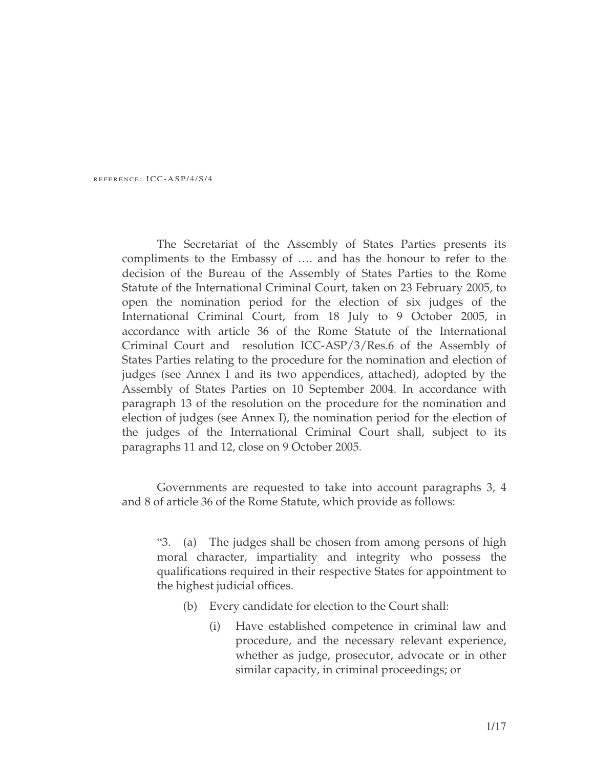REFERENCE: ICC-ASP/4/S/4

The Secretariat of the Assembly of States Parties presents its compliments to the Embassy of …. and has the honour to refer to the decision of the Bureau of the Assembly of States Parties to the Rome Statute of the International Criminal Court, taken on 23 February 2005, to open the nomination period for the election of six judges of the International Criminal Court, from 18 July to 9 October 2005, in accordance with article 36 of the Rome Statute of the International Criminal Court and resolution ICC-ASP/3/Res.6 of the Assembly of States Parties relating to the procedure for the nomination and election of judges (see Annex I and its two appendices, attached), adopted by the Assembly of States Parties on 10 September 2004. In accordance with paragraph 13 of the resolution on the procedure for the nomination and election of judges (see Annex I), the nomination period for the election of the judges of the International Criminal Court shall, subject to its paragraphs 11 and 12, close on 9 October 2005.

Governments are requested to take into account paragraphs 3, 4 and 8 of article 36 of the Rome Statute, which provide as follows:

"3. (a) The judges shall be chosen from among persons of high moral character, impartiality and integrity who possess the qualifications required in their respective States for appointment to the highest judicial offices.

- (b) Every candidate for election to the Court shall:
	- (i) Have established competence in criminal law and procedure, and the necessary relevant experience, whether as judge, prosecutor, advocate or in other similar capacity, in criminal proceedings; or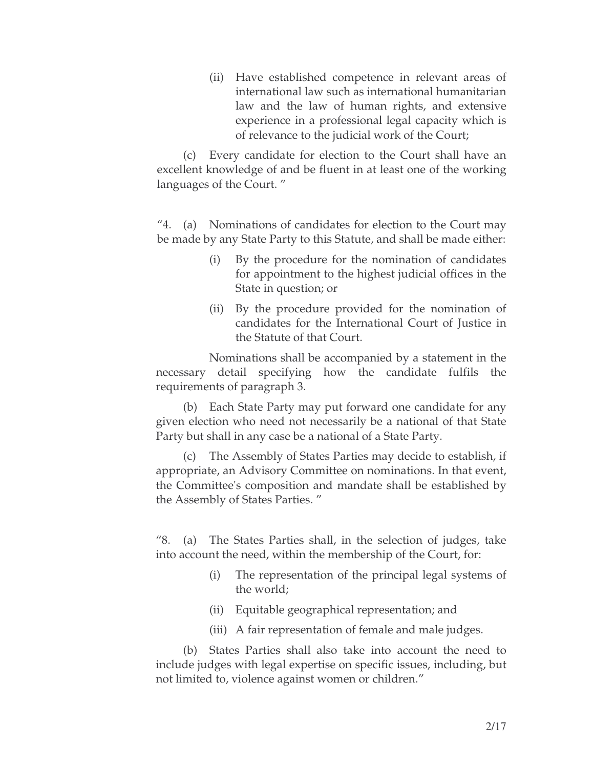(ii) Have established competence in relevant areas of international law such as international humanitarian law and the law of human rights, and extensive experience in a professional legal capacity which is of relevance to the judicial work of the Court;

(c) Every candidate for election to the Court shall have an excellent knowledge of and be fluent in at least one of the working languages of the Court. "

"4. (a) Nominations of candidates for election to the Court may be made by any State Party to this Statute, and shall be made either:

- (i) By the procedure for the nomination of candidates for appointment to the highest judicial offices in the State in question; or
- (ii) By the procedure provided for the nomination of candidates for the International Court of Justice in the Statute of that Court.

Nominations shall be accompanied by a statement in the necessary detail specifying how the candidate fulfils the requirements of paragraph 3.

(b) Each State Party may put forward one candidate for any given election who need not necessarily be a national of that State Party but shall in any case be a national of a State Party.

(c) The Assembly of States Parties may decide to establish, if appropriate, an Advisory Committee on nominations. In that event, the Committee's composition and mandate shall be established by the Assembly of States Parties. "

"8. (a) The States Parties shall, in the selection of judges, take into account the need, within the membership of the Court, for:

- (i) The representation of the principal legal systems of the world;
- (ii) Equitable geographical representation; and
- (iii) A fair representation of female and male judges.

(b) States Parties shall also take into account the need to include judges with legal expertise on specific issues, including, but not limited to, violence against women or children."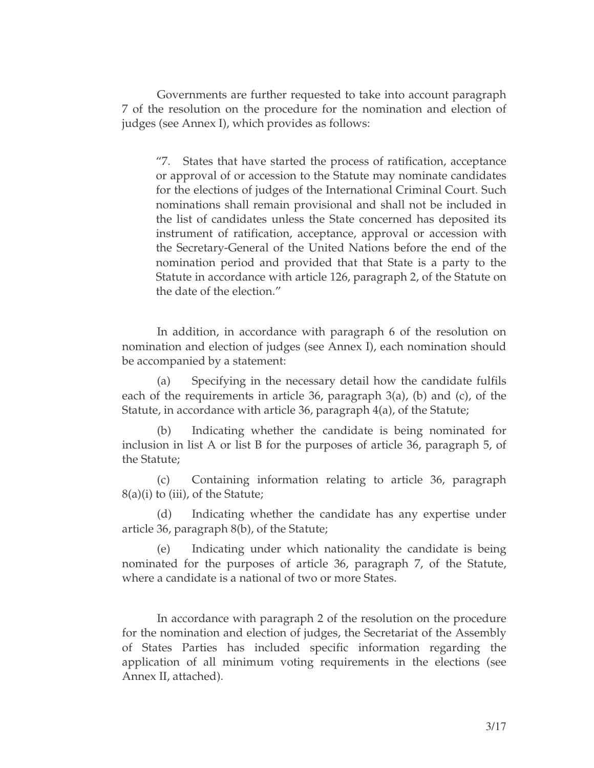Governments are further requested to take into account paragraph 7 of the resolution on the procedure for the nomination and election of judges (see Annex I), which provides as follows:

"7. States that have started the process of ratification, acceptance or approval of or accession to the Statute may nominate candidates for the elections of judges of the International Criminal Court. Such nominations shall remain provisional and shall not be included in the list of candidates unless the State concerned has deposited its instrument of ratification, acceptance, approval or accession with the Secretary-General of the United Nations before the end of the nomination period and provided that that State is a party to the Statute in accordance with article 126, paragraph 2, of the Statute on the date of the election."

In addition, in accordance with paragraph 6 of the resolution on nomination and election of judges (see Annex I), each nomination should be accompanied by a statement:

Specifying in the necessary detail how the candidate fulfils each of the requirements in article 36, paragraph 3(a), (b) and (c), of the Statute, in accordance with article 36, paragraph 4(a), of the Statute;

(b) Indicating whether the candidate is being nominated for inclusion in list A or list B for the purposes of article 36, paragraph 5, of the Statute;

(c) Containing information relating to article 36, paragraph  $8(a)(i)$  to (iii), of the Statute;

(d) Indicating whether the candidate has any expertise under article 36, paragraph 8(b), of the Statute;

Indicating under which nationality the candidate is being nominated for the purposes of article 36, paragraph 7, of the Statute, where a candidate is a national of two or more States.

In accordance with paragraph 2 of the resolution on the procedure for the nomination and election of judges, the Secretariat of the Assembly of States Parties has included specific information regarding the application of all minimum voting requirements in the elections (see Annex II, attached).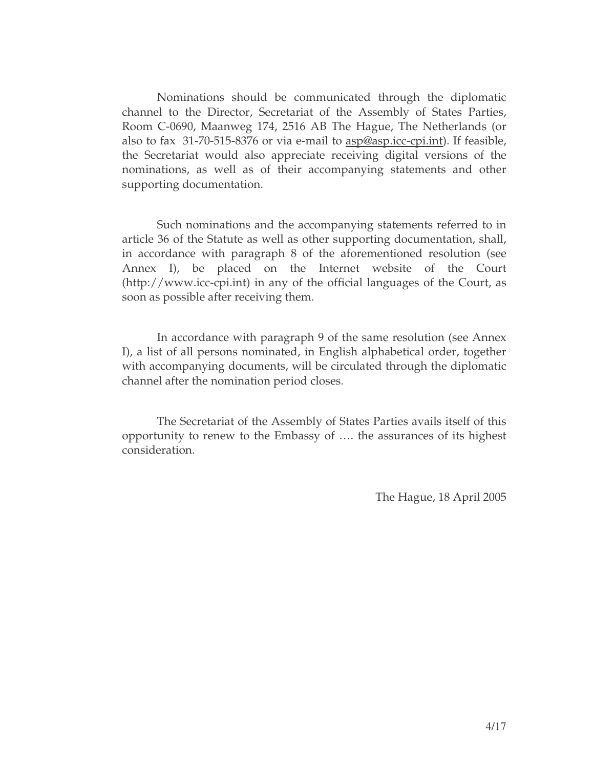Nominations should be communicated through the diplomatic channel to the Director, Secretariat of the Assembly of States Parties, Room C-0690, Maanweg 174, 2516 AB The Hague, The Netherlands (or also to fax 31-70-515-8376 or via e-mail to asp@asp.icc-cpi.int). If feasible, the Secretariat would also appreciate receiving digital versions of the nominations, as well as of their accompanying statements and other supporting documentation.

Such nominations and the accompanying statements referred to in article 36 of the Statute as well as other supporting documentation, shall, in accordance with paragraph 8 of the aforementioned resolution (see Annex I), be placed on the Internet website of the Court (http://www.icc-cpi.int) in any of the official languages of the Court, as soon as possible after receiving them.

In accordance with paragraph 9 of the same resolution (see Annex I), a list of all persons nominated, in English alphabetical order, together with accompanying documents, will be circulated through the diplomatic channel after the nomination period closes.

The Secretariat of the Assembly of States Parties avails itself of this opportunity to renew to the Embassy of …. the assurances of its highest consideration.

The Hague, 18 April 2005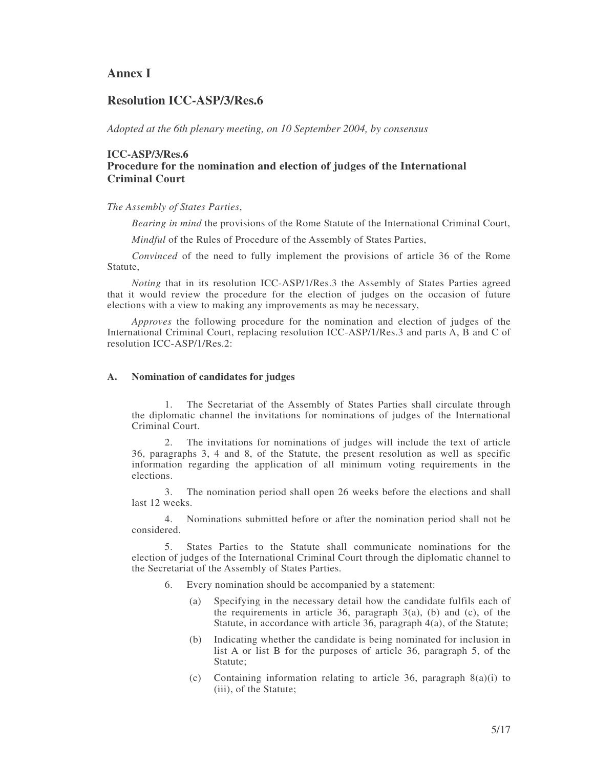# **Annex I**

## **Resolution ICC-ASP/3/Res.6**

*Adopted at the 6th plenary meeting, on 10 September 2004, by consensus*

# **ICC-ASP/3/Res.6 Procedure for the nomination and election of judges of the International Criminal Court**

*The Assembly of States Parties*,

*Bearing in mind* the provisions of the Rome Statute of the International Criminal Court,

*Mindful* of the Rules of Procedure of the Assembly of States Parties,

*Convinced* of the need to fully implement the provisions of article 36 of the Rome Statute,

*Noting* that in its resolution ICC-ASP/1/Res.3 the Assembly of States Parties agreed that it would review the procedure for the election of judges on the occasion of future elections with a view to making any improvements as may be necessary,

*Approves* the following procedure for the nomination and election of judges of the International Criminal Court, replacing resolution ICC-ASP/1/Res.3 and parts A, B and C of resolution ICC-ASP/1/Res.2:

#### **A. Nomination of candidates for judges**

1. The Secretariat of the Assembly of States Parties shall circulate through the diplomatic channel the invitations for nominations of judges of the International Criminal Court.

2. The invitations for nominations of judges will include the text of article 36, paragraphs 3, 4 and 8, of the Statute, the present resolution as well as specific information regarding the application of all minimum voting requirements in the elections.

3. The nomination period shall open 26 weeks before the elections and shall last 12 weeks.

4. Nominations submitted before or after the nomination period shall not be considered.

5. States Parties to the Statute shall communicate nominations for the election of judges of the International Criminal Court through the diplomatic channel to the Secretariat of the Assembly of States Parties.

- 6. Every nomination should be accompanied by a statement:
	- (a) Specifying in the necessary detail how the candidate fulfils each of the requirements in article 36, paragraph  $3(a)$ , (b) and (c), of the Statute, in accordance with article 36, paragraph 4(a), of the Statute;
	- (b) Indicating whether the candidate is being nominated for inclusion in list A or list B for the purposes of article 36, paragraph 5, of the Statute;
	- (c) Containing information relating to article 36, paragraph 8(a)(i) to (iii), of the Statute;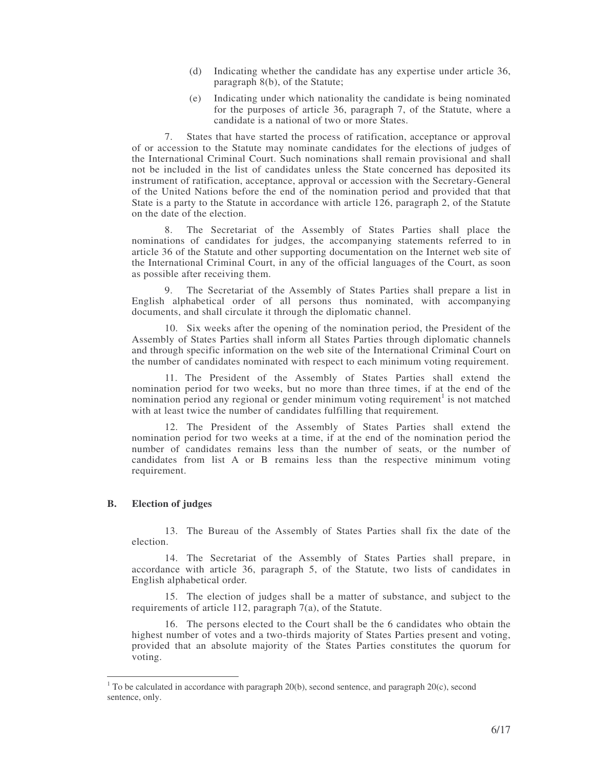- (d) Indicating whether the candidate has any expertise under article 36, paragraph 8(b), of the Statute;
- (e) Indicating under which nationality the candidate is being nominated for the purposes of article 36, paragraph 7, of the Statute, where a candidate is a national of two or more States.

7. States that have started the process of ratification, acceptance or approval of or accession to the Statute may nominate candidates for the elections of judges of the International Criminal Court. Such nominations shall remain provisional and shall not be included in the list of candidates unless the State concerned has deposited its instrument of ratification, acceptance, approval or accession with the Secretary-General of the United Nations before the end of the nomination period and provided that that State is a party to the Statute in accordance with article 126, paragraph 2, of the Statute on the date of the election.

8. The Secretariat of the Assembly of States Parties shall place the nominations of candidates for judges, the accompanying statements referred to in article 36 of the Statute and other supporting documentation on the Internet web site of the International Criminal Court, in any of the official languages of the Court, as soon as possible after receiving them.

9. The Secretariat of the Assembly of States Parties shall prepare a list in English alphabetical order of all persons thus nominated, with accompanying documents, and shall circulate it through the diplomatic channel.

10. Six weeks after the opening of the nomination period, the President of the Assembly of States Parties shall inform all States Parties through diplomatic channels and through specific information on the web site of the International Criminal Court on the number of candidates nominated with respect to each minimum voting requirement.

11. The President of the Assembly of States Parties shall extend the nomination period for two weeks, but no more than three times, if at the end of the nomination period any regional or gender minimum voting requirement<sup>1</sup> is not matched with at least twice the number of candidates fulfilling that requirement*.*

12. The President of the Assembly of States Parties shall extend the nomination period for two weeks at a time, if at the end of the nomination period the number of candidates remains less than the number of seats, or the number of candidates from list A or B remains less than the respective minimum voting requirement.

#### **B. Election of judges**

13. The Bureau of the Assembly of States Parties shall fix the date of the election.

14. The Secretariat of the Assembly of States Parties shall prepare, in accordance with article 36, paragraph 5, of the Statute, two lists of candidates in English alphabetical order.

15. The election of judges shall be a matter of substance, and subject to the requirements of article 112, paragraph 7(a), of the Statute.

16. The persons elected to the Court shall be the 6 candidates who obtain the highest number of votes and a two-thirds majority of States Parties present and voting, provided that an absolute majority of the States Parties constitutes the quorum for voting.

 $1$  To be calculated in accordance with paragraph 20(b), second sentence, and paragraph 20(c), second sentence, only.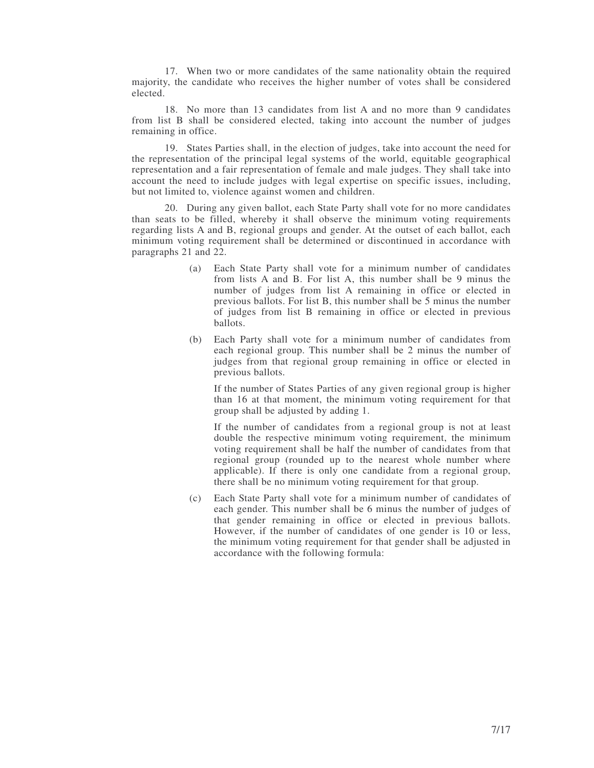17. When two or more candidates of the same nationality obtain the required majority, the candidate who receives the higher number of votes shall be considered elected.

18. No more than 13 candidates from list A and no more than 9 candidates from list B shall be considered elected, taking into account the number of judges remaining in office.

19. States Parties shall, in the election of judges, take into account the need for the representation of the principal legal systems of the world, equitable geographical representation and a fair representation of female and male judges. They shall take into account the need to include judges with legal expertise on specific issues, including, but not limited to, violence against women and children.

20. During any given ballot, each State Party shall vote for no more candidates than seats to be filled, whereby it shall observe the minimum voting requirements regarding lists A and B, regional groups and gender. At the outset of each ballot, each minimum voting requirement shall be determined or discontinued in accordance with paragraphs 21 and 22.

- (a) Each State Party shall vote for a minimum number of candidates from lists A and B. For list A, this number shall be 9 minus the number of judges from list A remaining in office or elected in previous ballots. For list B, this number shall be 5 minus the number of judges from list B remaining in office or elected in previous ballots.
- (b) Each Party shall vote for a minimum number of candidates from each regional group. This number shall be 2 minus the number of judges from that regional group remaining in office or elected in previous ballots.

If the number of States Parties of any given regional group is higher than 16 at that moment, the minimum voting requirement for that group shall be adjusted by adding 1.

If the number of candidates from a regional group is not at least double the respective minimum voting requirement, the minimum voting requirement shall be half the number of candidates from that regional group (rounded up to the nearest whole number where applicable). If there is only one candidate from a regional group, there shall be no minimum voting requirement for that group.

(c) Each State Party shall vote for a minimum number of candidates of each gender. This number shall be 6 minus the number of judges of that gender remaining in office or elected in previous ballots. However, if the number of candidates of one gender is 10 or less, the minimum voting requirement for that gender shall be adjusted in accordance with the following formula: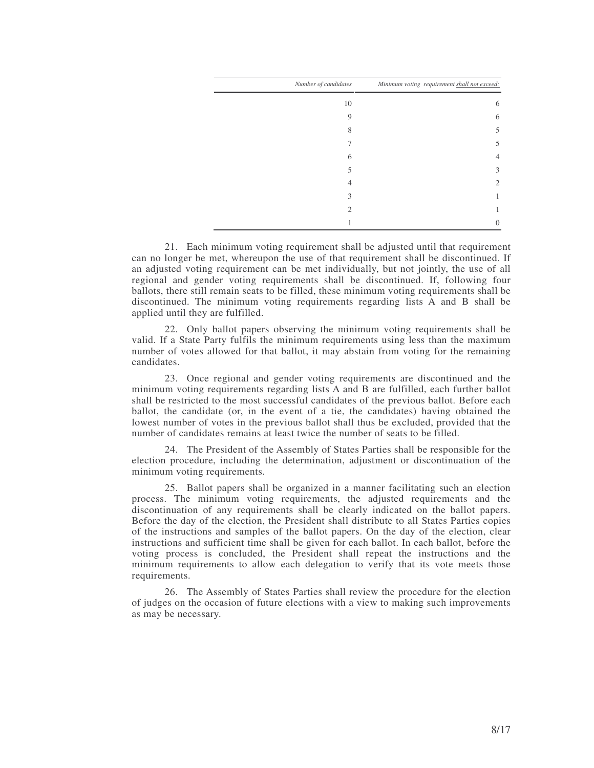| Number of candidates | Minimum voting requirement shall not exceed: |
|----------------------|----------------------------------------------|
| 10                   | 6                                            |
| 9                    | 6                                            |
| 8                    | 5                                            |
|                      | 5                                            |
| 6                    | 4                                            |
|                      | 3                                            |
|                      | 2                                            |
| 3                    |                                              |
| 2                    |                                              |
|                      |                                              |

21. Each minimum voting requirement shall be adjusted until that requirement can no longer be met, whereupon the use of that requirement shall be discontinued. If an adjusted voting requirement can be met individually, but not jointly, the use of all regional and gender voting requirements shall be discontinued. If, following four ballots, there still remain seats to be filled, these minimum voting requirements shall be discontinued. The minimum voting requirements regarding lists A and B shall be applied until they are fulfilled.

22. Only ballot papers observing the minimum voting requirements shall be valid. If a State Party fulfils the minimum requirements using less than the maximum number of votes allowed for that ballot, it may abstain from voting for the remaining candidates.

23. Once regional and gender voting requirements are discontinued and the minimum voting requirements regarding lists A and B are fulfilled, each further ballot shall be restricted to the most successful candidates of the previous ballot. Before each ballot, the candidate (or, in the event of a tie, the candidates) having obtained the lowest number of votes in the previous ballot shall thus be excluded, provided that the number of candidates remains at least twice the number of seats to be filled.

24. The President of the Assembly of States Parties shall be responsible for the election procedure, including the determination, adjustment or discontinuation of the minimum voting requirements.

25. Ballot papers shall be organized in a manner facilitating such an election process. The minimum voting requirements, the adjusted requirements and the discontinuation of any requirements shall be clearly indicated on the ballot papers. Before the day of the election, the President shall distribute to all States Parties copies of the instructions and samples of the ballot papers. On the day of the election, clear instructions and sufficient time shall be given for each ballot. In each ballot, before the voting process is concluded, the President shall repeat the instructions and the minimum requirements to allow each delegation to verify that its vote meets those requirements.

26. The Assembly of States Parties shall review the procedure for the election of judges on the occasion of future elections with a view to making such improvements as may be necessary.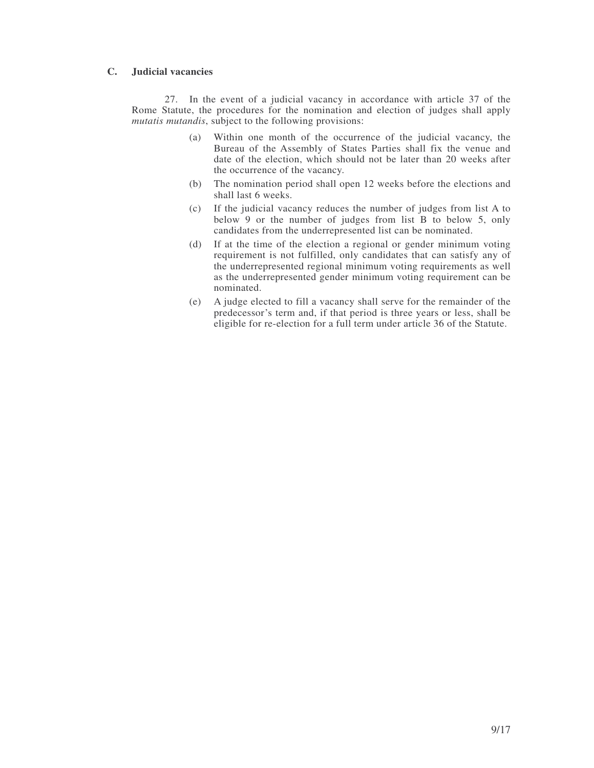## **C. Judicial vacancies**

27. In the event of a judicial vacancy in accordance with article 37 of the Rome Statute, the procedures for the nomination and election of judges shall apply *mutatis mutandis*, subject to the following provisions:

- (a) Within one month of the occurrence of the judicial vacancy, the Bureau of the Assembly of States Parties shall fix the venue and date of the election, which should not be later than 20 weeks after the occurrence of the vacancy.
- (b) The nomination period shall open 12 weeks before the elections and shall last 6 weeks.
- (c) If the judicial vacancy reduces the number of judges from list A to below 9 or the number of judges from list B to below 5, only candidates from the underrepresented list can be nominated.
- (d) If at the time of the election a regional or gender minimum voting requirement is not fulfilled, only candidates that can satisfy any of the underrepresented regional minimum voting requirements as well as the underrepresented gender minimum voting requirement can be nominated.
- (e) A judge elected to fill a vacancy shall serve for the remainder of the predecessor's term and, if that period is three years or less, shall be eligible for re-election for a full term under article 36 of the Statute.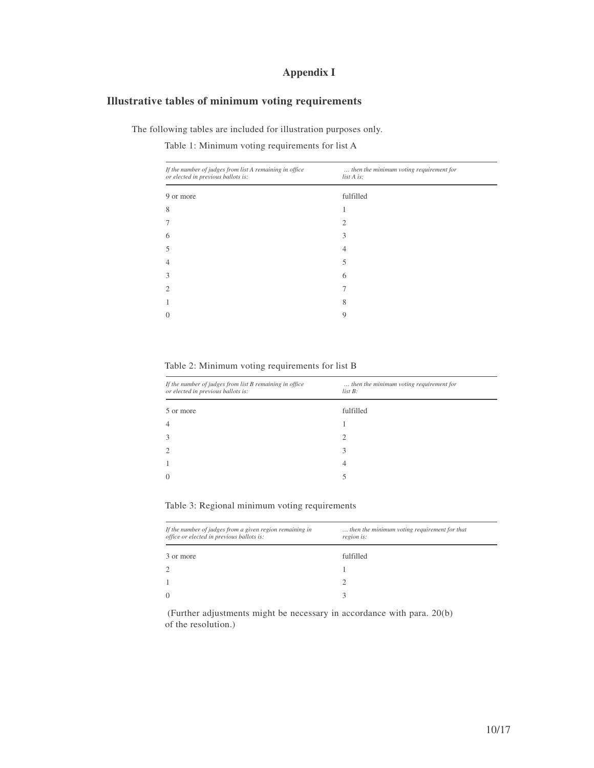# **Appendix I**

# **Illustrative tables of minimum voting requirements**

The following tables are included for illustration purposes only.

Table 1: Minimum voting requirements for list A

| If the number of judges from list A remaining in office<br>or elected in previous ballots is: | then the minimum voting requirement for<br>list A is: |
|-----------------------------------------------------------------------------------------------|-------------------------------------------------------|
| 9 or more                                                                                     | fulfilled                                             |
| 8                                                                                             |                                                       |
|                                                                                               | $\mathfrak{D}$                                        |
| 6                                                                                             | 3                                                     |
| 5                                                                                             | 4                                                     |
| 4                                                                                             | 5                                                     |
| 3                                                                                             | 6                                                     |
| 2                                                                                             |                                                       |
|                                                                                               | 8                                                     |
| 0                                                                                             | 9                                                     |
|                                                                                               |                                                       |

Table 2: Minimum voting requirements for list B

| If the number of judges from list B remaining in office<br>or elected in previous ballots is: | then the minimum voting requirement for<br>$list B$ : |
|-----------------------------------------------------------------------------------------------|-------------------------------------------------------|
| 5 or more                                                                                     | fulfilled                                             |
|                                                                                               |                                                       |
| $\mathcal{R}$                                                                                 | ာ                                                     |
|                                                                                               | 3                                                     |
|                                                                                               | 4                                                     |
| $\Omega$                                                                                      |                                                       |

|  | Table 3: Regional minimum voting requirements |  |  |
|--|-----------------------------------------------|--|--|
|  |                                               |  |  |

| If the number of judges from a given region remaining in<br>office or elected in previous ballots is: | then the minimum voting requirement for that<br>region is: |
|-------------------------------------------------------------------------------------------------------|------------------------------------------------------------|
| 3 or more                                                                                             | fulfilled                                                  |
| $\overline{2}$                                                                                        |                                                            |
|                                                                                                       |                                                            |
| $\Omega$                                                                                              |                                                            |

(Further adjustments might be necessary in accordance with para. 20(b) of the resolution.)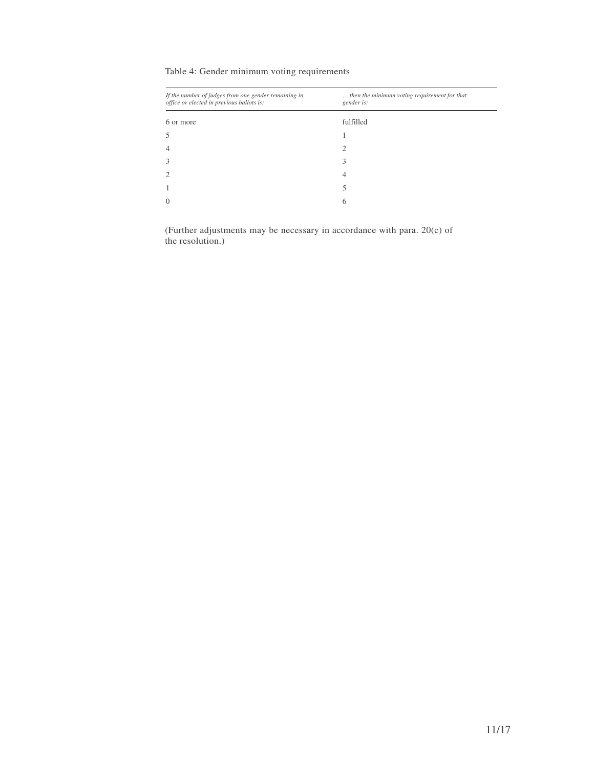# Table 4: Gender minimum voting requirements

| If the number of judges from one gender remaining in<br>office or elected in previous ballots is: | then the minimum voting requirement for that<br>gender is: |
|---------------------------------------------------------------------------------------------------|------------------------------------------------------------|
| 6 or more                                                                                         | fulfilled                                                  |
| 5                                                                                                 |                                                            |
| 4                                                                                                 | ∍                                                          |
| 3                                                                                                 |                                                            |
| $\overline{2}$                                                                                    | 4                                                          |
|                                                                                                   |                                                            |
| $\overline{0}$                                                                                    | 6                                                          |
|                                                                                                   |                                                            |

(Further adjustments may be necessary in accordance with para. 20(c) of the resolution.)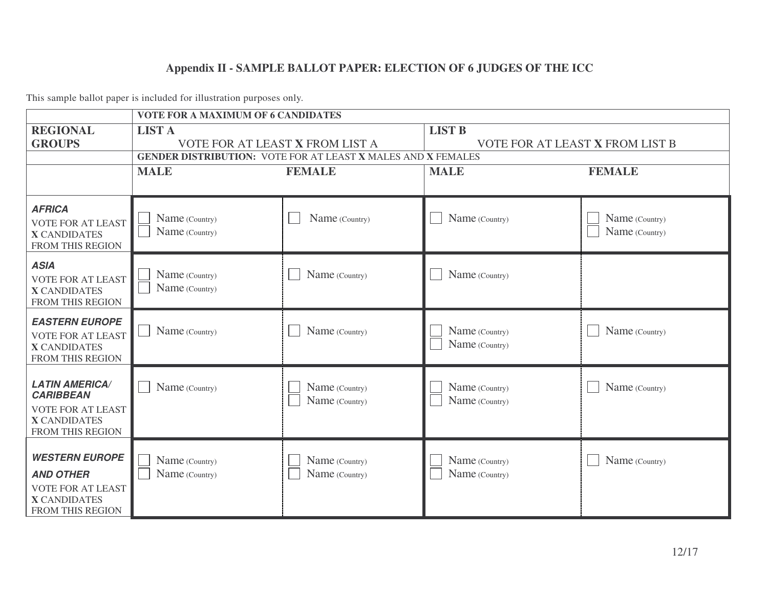# **Appendix II - SAMPLE BALLOT PAPER: ELECTION OF 6 JUDGES OF THE ICC**

|                                                                                                                         | <b>VOTE FOR A MAXIMUM OF 6 CANDIDATES</b>                           |                                  |                                  |                                  |  |  |  |
|-------------------------------------------------------------------------------------------------------------------------|---------------------------------------------------------------------|----------------------------------|----------------------------------|----------------------------------|--|--|--|
| <b>REGIONAL</b>                                                                                                         | <b>LIST A</b>                                                       |                                  | <b>LIST B</b>                    |                                  |  |  |  |
| <b>GROUPS</b>                                                                                                           | VOTE FOR AT LEAST X FROM LIST A                                     |                                  | VOTE FOR AT LEAST X FROM LIST B  |                                  |  |  |  |
|                                                                                                                         | <b>GENDER DISTRIBUTION: VOTE FOR AT LEAST X MALES AND X FEMALES</b> |                                  |                                  |                                  |  |  |  |
|                                                                                                                         | <b>MALE</b>                                                         | <b>FEMALE</b>                    | <b>MALE</b>                      | <b>FEMALE</b>                    |  |  |  |
|                                                                                                                         |                                                                     |                                  |                                  |                                  |  |  |  |
| <b>AFRICA</b><br><b>VOTE FOR AT LEAST</b><br><b>X CANDIDATES</b><br>FROM THIS REGION                                    | Name (Country)<br>Name (Country)                                    | Name (Country)                   | Name (Country)                   | Name (Country)<br>Name (Country) |  |  |  |
| <b>ASIA</b><br><b>VOTE FOR AT LEAST</b><br><b>X CANDIDATES</b><br>FROM THIS REGION                                      | Name (Country)<br>Name (Country)                                    | Name (Country)                   | Name (Country)                   |                                  |  |  |  |
| <b>EASTERN EUROPE</b><br><b>VOTE FOR AT LEAST</b><br><b>X CANDIDATES</b><br><b>FROM THIS REGION</b>                     | Name (Country)                                                      | Name (Country)                   | Name (Country)<br>Name (Country) | Name (Country)                   |  |  |  |
| <b>LATIN AMERICA/</b><br><b>CARIBBEAN</b><br><b>VOTE FOR AT LEAST</b><br><b>X CANDIDATES</b><br><b>FROM THIS REGION</b> | Name (Country)                                                      | Name (Country)<br>Name (Country) | Name (Country)<br>Name (Country) | Name (Country)                   |  |  |  |
| <b>WESTERN EUROPE</b><br><b>AND OTHER</b><br><b>VOTE FOR AT LEAST</b><br><b>X CANDIDATES</b><br>FROM THIS REGION        | Name (Country)<br>Name (Country)                                    | Name (Country)<br>Name (Country) | Name (Country)<br>Name (Country) | Name (Country)                   |  |  |  |

This sample ballot paper is included for illustration purposes only.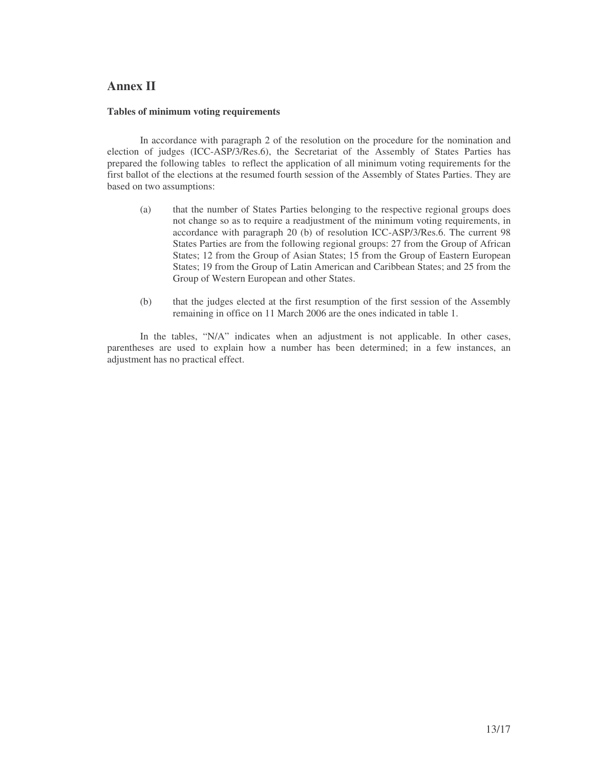# **Annex II**

#### **Tables of minimum voting requirements**

In accordance with paragraph 2 of the resolution on the procedure for the nomination and election of judges (ICC-ASP/3/Res.6), the Secretariat of the Assembly of States Parties has prepared the following tables to reflect the application of all minimum voting requirements for the first ballot of the elections at the resumed fourth session of the Assembly of States Parties. They are based on two assumptions:

- (a) that the number of States Parties belonging to the respective regional groups does not change so as to require a readjustment of the minimum voting requirements, in accordance with paragraph 20 (b) of resolution ICC-ASP/3/Res.6. The current 98 States Parties are from the following regional groups: 27 from the Group of African States; 12 from the Group of Asian States; 15 from the Group of Eastern European States; 19 from the Group of Latin American and Caribbean States; and 25 from the Group of Western European and other States.
- (b) that the judges elected at the first resumption of the first session of the Assembly remaining in office on 11 March 2006 are the ones indicated in table 1.

In the tables, "N/A" indicates when an adjustment is not applicable. In other cases, parentheses are used to explain how a number has been determined; in a few instances, an adjustment has no practical effect.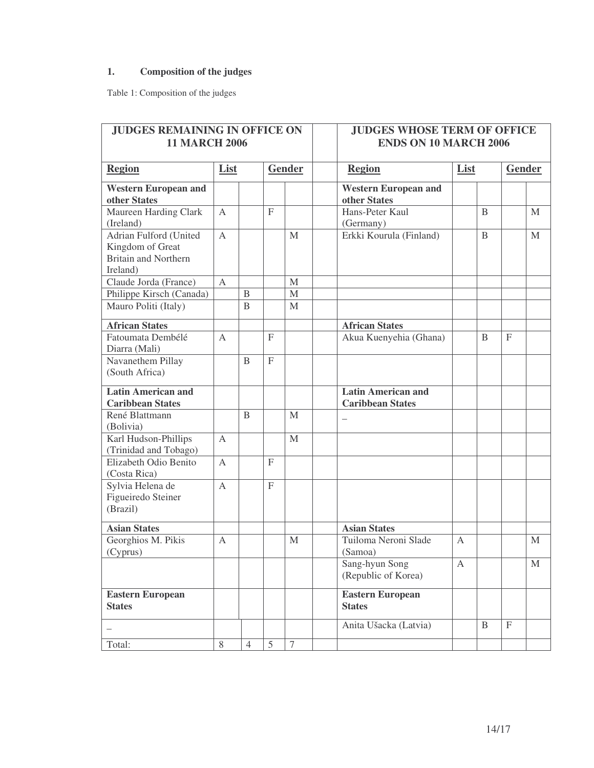# **1. Composition of the judges**

Table 1: Composition of the judges

| <b>JUDGES REMAINING IN OFFICE ON</b>                                                  |              |                |                           |                  | <b>JUDGES WHOSE TERM OF OFFICE</b>                        |
|---------------------------------------------------------------------------------------|--------------|----------------|---------------------------|------------------|-----------------------------------------------------------|
| <b>11 MARCH 2006</b>                                                                  |              |                |                           |                  | <b>ENDS ON 10 MARCH 2006</b>                              |
| <b>Region</b>                                                                         | List         |                |                           | <b>Gender</b>    | <b>Region</b><br>List<br>Gender                           |
| <b>Western European and</b><br>other States                                           |              |                |                           |                  | <b>Western European and</b><br>other States               |
| Maureen Harding Clark<br>(Ireland)                                                    | $\mathbf{A}$ |                | $\mathbf F$               |                  | Hans-Peter Kaul<br>$\mathbf{B}$<br>M<br>(Germany)         |
| Adrian Fulford (United<br>Kingdom of Great<br><b>Britain and Northern</b><br>Ireland) | $\mathbf{A}$ |                |                           | $\mathbf M$      | Erkki Kourula (Finland)<br>$\mathbf{B}$<br>$\mathbf{M}$   |
| Claude Jorda (France)                                                                 | $\mathbf{A}$ |                |                           | M                |                                                           |
| Philippe Kirsch (Canada)                                                              |              | B              |                           | $\mathbf M$      |                                                           |
| Mauro Politi (Italy)                                                                  |              | B              |                           | M                |                                                           |
| <b>African States</b>                                                                 |              |                |                           |                  | <b>African States</b>                                     |
| Fatoumata Dembélé<br>Diarra (Mali)                                                    | A            |                | $\mathbf{F}$              |                  | Akua Kuenyehia (Ghana)<br>$\mathbf F$<br>B                |
| Navanethem Pillay<br>(South Africa)                                                   |              | $\mathbf{B}$   | $\overline{F}$            |                  |                                                           |
| <b>Latin American and</b><br><b>Caribbean States</b>                                  |              |                |                           |                  | <b>Latin American and</b><br><b>Caribbean States</b>      |
| René Blattmann<br>(Bolivia)                                                           |              | B              |                           | M                |                                                           |
| Karl Hudson-Phillips<br>(Trinidad and Tobago)                                         | $\mathbf{A}$ |                |                           | M                |                                                           |
| Elizabeth Odio Benito<br>(Costa Rica)                                                 | $\mathbf{A}$ |                | $\mathbf F$               |                  |                                                           |
| Sylvia Helena de<br>Figueiredo Steiner<br>(Brazil)                                    | A            |                | $\boldsymbol{\mathrm{F}}$ |                  |                                                           |
| <b>Asian States</b>                                                                   |              |                |                           |                  | <b>Asian States</b>                                       |
| Georghios M. Pikis<br>(Cyprus)                                                        | A            |                |                           | M                | Tuiloma Neroni Slade<br>$\overline{A}$<br>M<br>(Samoa)    |
|                                                                                       |              |                |                           |                  | Sang-hyun Song<br>$\mathbf M$<br>A<br>(Republic of Korea) |
| <b>Eastern European</b><br><b>States</b>                                              |              |                |                           |                  | Eastern European<br><b>States</b>                         |
|                                                                                       |              |                |                           |                  | $\mathbf F$<br>$\, {\bf B}$<br>Anita Ušacka (Latvia)      |
| Total:                                                                                | 8            | $\overline{4}$ | 5                         | $\boldsymbol{7}$ |                                                           |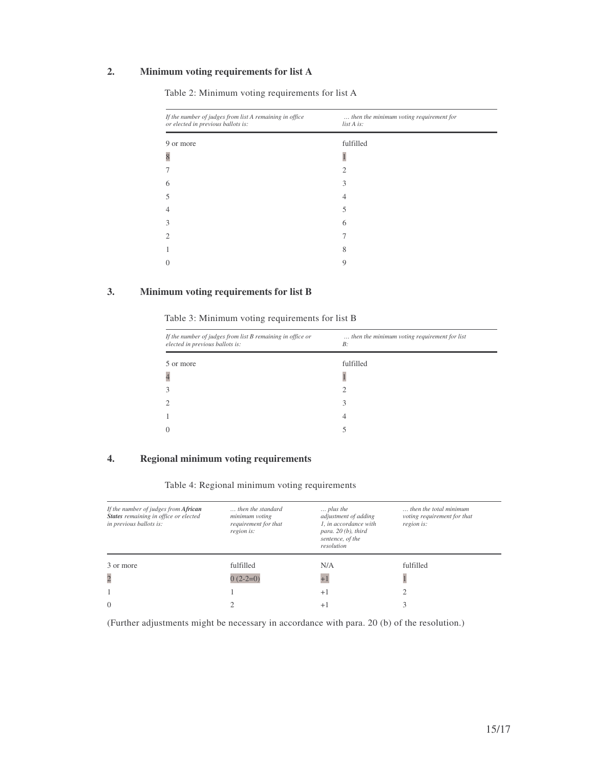# **2. Minimum voting requirements for list A**

| If the number of judges from list A remaining in office<br>or elected in previous ballots is: | then the minimum voting requirement for<br>list A is: |  |  |
|-----------------------------------------------------------------------------------------------|-------------------------------------------------------|--|--|
| 9 or more                                                                                     | fulfilled                                             |  |  |
| 8                                                                                             |                                                       |  |  |
|                                                                                               | 2                                                     |  |  |
| 6                                                                                             | 3                                                     |  |  |
|                                                                                               | 4                                                     |  |  |
|                                                                                               | 5                                                     |  |  |
| 3                                                                                             | 6                                                     |  |  |
|                                                                                               |                                                       |  |  |
|                                                                                               | 8                                                     |  |  |
|                                                                                               | 9                                                     |  |  |

Table 2: Minimum voting requirements for list A

## **3. Minimum voting requirements for list B**

Table 3: Minimum voting requirements for list B

| If the number of judges from list B remaining in office or<br>elected in previous ballots is: | then the minimum voting requirement for list<br>B: |
|-----------------------------------------------------------------------------------------------|----------------------------------------------------|
| 5 or more                                                                                     | fulfilled                                          |
| $\overline{4}$                                                                                |                                                    |
| 3                                                                                             | 2                                                  |
| $\overline{2}$                                                                                | 3                                                  |
|                                                                                               | 4                                                  |
| $\Omega$                                                                                      |                                                    |
|                                                                                               |                                                    |

## **4. Regional minimum voting requirements**

Table 4: Regional minimum voting requirements

| If the number of judges from African<br>States remaining in office or elected<br>in previous ballots is: | then the standard<br>minimum voting<br>requirement for that<br>region is: | $\ldots$ plus the<br>adjustment of adding<br>1. in accordance with<br>para. $20(b)$ , third<br>sentence, of the<br>resolution | $\ldots$ then the total minimum<br>voting requirement for that<br>region is: |
|----------------------------------------------------------------------------------------------------------|---------------------------------------------------------------------------|-------------------------------------------------------------------------------------------------------------------------------|------------------------------------------------------------------------------|
| 3 or more                                                                                                | fulfilled                                                                 | N/A                                                                                                                           | fulfilled                                                                    |
| $\overline{c}$                                                                                           | $0(2-2=0)$                                                                | $+1$                                                                                                                          |                                                                              |
|                                                                                                          |                                                                           | $+1$                                                                                                                          |                                                                              |
| $\theta$                                                                                                 |                                                                           | $+ $                                                                                                                          |                                                                              |

(Further adjustments might be necessary in accordance with para. 20 (b) of the resolution.)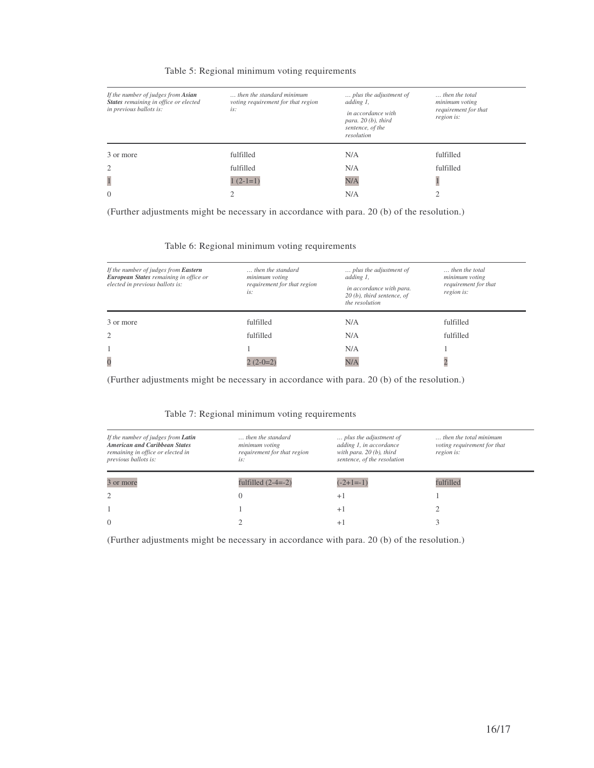#### Table 5: Regional minimum voting requirements

| If the number of judges from Asian<br>States remaining in office or elected<br>in previous ballots is: | then the standard minimum<br>voting requirement for that region<br>is: | plus the adjustment of<br>adding 1,<br>in accordance with<br>para. $20(b)$ , third<br>sentence, of the<br>resolution | then the total<br>minimum voting<br>requirement for that<br>region is: |
|--------------------------------------------------------------------------------------------------------|------------------------------------------------------------------------|----------------------------------------------------------------------------------------------------------------------|------------------------------------------------------------------------|
| 3 or more                                                                                              | fulfilled                                                              | N/A                                                                                                                  | fulfilled                                                              |
| $\overline{2}$                                                                                         | fulfilled                                                              | N/A                                                                                                                  | fulfilled                                                              |
| $\mathbf{1}$                                                                                           | $1(2-1=1)$                                                             | N/A                                                                                                                  |                                                                        |
| $\Omega$                                                                                               | ◠                                                                      | N/A                                                                                                                  |                                                                        |

(Further adjustments might be necessary in accordance with para. 20 (b) of the resolution.)

#### Table 6: Regional minimum voting requirements

| If the number of judges from Eastern<br>European States remaining in office or<br>elected in previous ballots is: | then the standard<br>minimum voting<br>requirement for that region<br>is: | plus the adjustment of<br>adding 1,<br>in accordance with para.<br>$20(b)$ , third sentence, of<br>the resolution | then the total<br>minimum voting<br>requirement for that<br>region is: |
|-------------------------------------------------------------------------------------------------------------------|---------------------------------------------------------------------------|-------------------------------------------------------------------------------------------------------------------|------------------------------------------------------------------------|
| 3 or more                                                                                                         | fulfilled                                                                 | N/A                                                                                                               | fulfilled                                                              |
| $\overline{2}$                                                                                                    | fulfilled                                                                 | N/A                                                                                                               | fulfilled                                                              |
|                                                                                                                   |                                                                           | N/A                                                                                                               |                                                                        |
| $\overline{0}$                                                                                                    | $2(2-0=2)$                                                                | N/A                                                                                                               | $\overline{c}$                                                         |

(Further adjustments might be necessary in accordance with para. 20 (b) of the resolution.)

#### Table 7: Regional minimum voting requirements

| If the number of judges from <b>Latin</b><br><b>American and Caribbean States</b><br>remaining in office or elected in<br>previous ballots is: | then the standard<br>minimum voting<br>requirement for that region<br>is: | plus the adjustment of<br>adding 1, in accordance<br>with para. $20(b)$ , third<br>sentence, of the resolution | then the total minimum.<br>voting requirement for that<br>region is: |
|------------------------------------------------------------------------------------------------------------------------------------------------|---------------------------------------------------------------------------|----------------------------------------------------------------------------------------------------------------|----------------------------------------------------------------------|
| 3 or more                                                                                                                                      | fulfilled $(2-4=-2)$                                                      | $(-2+1=-1)$                                                                                                    | fulfilled                                                            |
| $\overline{c}$                                                                                                                                 |                                                                           | $+1$                                                                                                           |                                                                      |
|                                                                                                                                                |                                                                           | $+1$                                                                                                           |                                                                      |
| $\theta$                                                                                                                                       |                                                                           | $+1$                                                                                                           |                                                                      |

(Further adjustments might be necessary in accordance with para. 20 (b) of the resolution.)